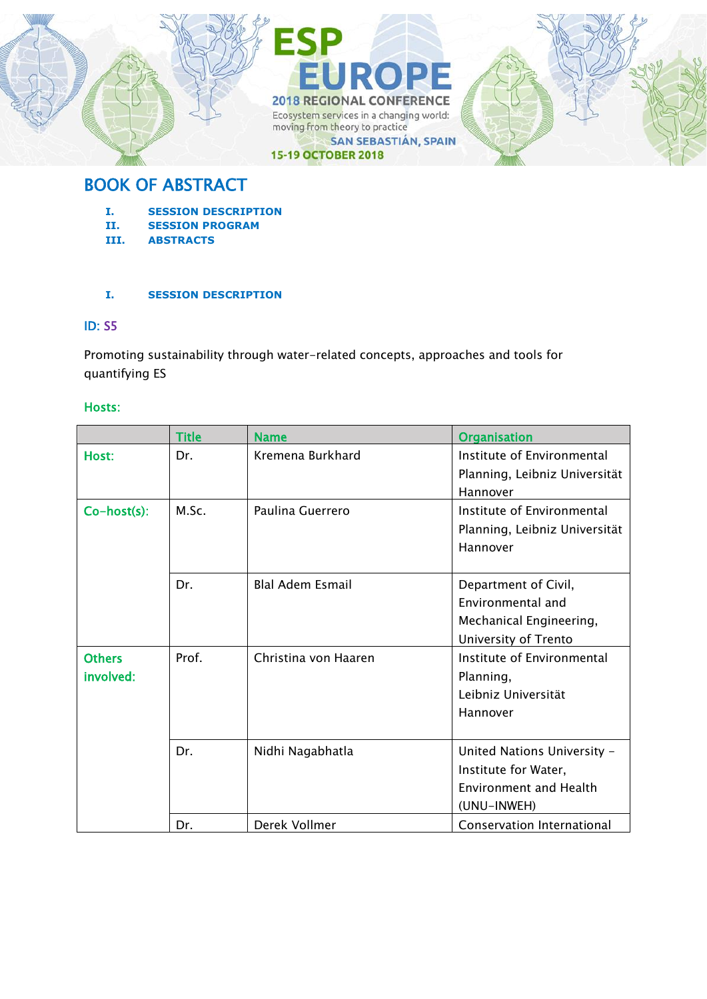

## BOOK OF ABSTRACT

- **I. SESSION DESCRIPTION**
- **II. SESSION PROGRAM**
- **III. ABSTRACTS**

## **I. SESSION DESCRIPTION**

## ID: S5

Promoting sustainability through water-related concepts, approaches and tools for quantifying ES

#### Hosts:

|                            | <b>Title</b> | <b>Name</b>             | <b>Organisation</b>                                                                                 |
|----------------------------|--------------|-------------------------|-----------------------------------------------------------------------------------------------------|
| Host:                      | Dr.          | Kremena Burkhard        | Institute of Environmental<br>Planning, Leibniz Universität<br>Hannover                             |
| Co-host(s):                | M.Sc.        | Paulina Guerrero        | Institute of Environmental<br>Planning, Leibniz Universität<br>Hannover                             |
|                            | Dr.          | <b>Blal Adem Esmail</b> | Department of Civil,<br>Environmental and<br>Mechanical Engineering,<br>University of Trento        |
| <b>Others</b><br>involved: | Prof.        | Christina von Haaren    | Institute of Environmental<br>Planning,<br>Leibniz Universität<br>Hannover                          |
|                            | Dr.          | Nidhi Nagabhatla        | United Nations University -<br>Institute for Water,<br><b>Environment and Health</b><br>(UNU-INWEH) |
|                            | Dr.          | Derek Vollmer           | Conservation International                                                                          |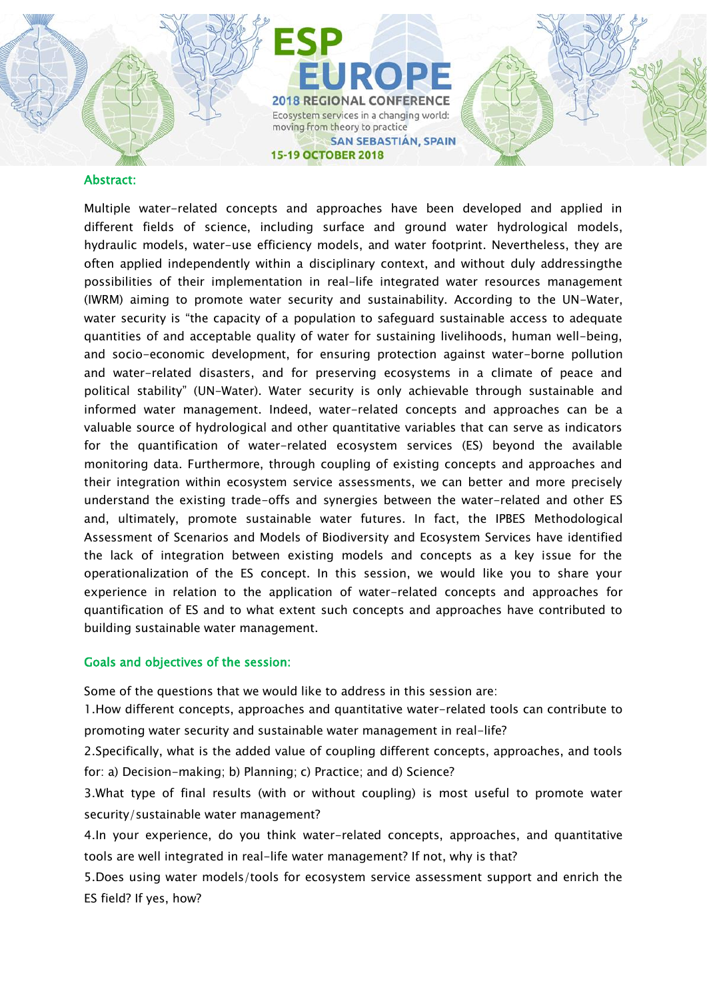#### Abstract:

Multiple water-related concepts and approaches have been developed and applied in different fields of science, including surface and ground water hydrological models, hydraulic models, water-use efficiency models, and water footprint. Nevertheless, they are often applied independently within a disciplinary context, and without duly addressingthe possibilities of their implementation in real-life integrated water resources management (IWRM) aiming to promote water security and sustainability. According to the UN-Water, water security is "the capacity of a population to safeguard sustainable access to adequate quantities of and acceptable quality of water for sustaining livelihoods, human well-being, and socio-economic development, for ensuring protection against water-borne pollution and water-related disasters, and for preserving ecosystems in a climate of peace and political stability" (UN-Water). Water security is only achievable through sustainable and informed water management. Indeed, water-related concepts and approaches can be a valuable source of hydrological and other quantitative variables that can serve as indicators for the quantification of water-related ecosystem services (ES) beyond the available monitoring data. Furthermore, through coupling of existing concepts and approaches and their integration within ecosystem service assessments, we can better and more precisely understand the existing trade-offs and synergies between the water-related and other ES and, ultimately, promote sustainable water futures. In fact, the IPBES Methodological Assessment of Scenarios and Models of Biodiversity and Ecosystem Services have identified the lack of integration between existing models and concepts as a key issue for the operationalization of the ES concept. In this session, we would like you to share your experience in relation to the application of water-related concepts and approaches for quantification of ES and to what extent such concepts and approaches have contributed to building sustainable water management.

#### Goals and objectives of the session:

Some of the questions that we would like to address in this session are:

1.How different concepts, approaches and quantitative water-related tools can contribute to promoting water security and sustainable water management in real-life?

2.Specifically, what is the added value of coupling different concepts, approaches, and tools for: a) Decision-making; b) Planning; c) Practice; and d) Science?

3.What type of final results (with or without coupling) is most useful to promote water security/sustainable water management?

4.In your experience, do you think water-related concepts, approaches, and quantitative tools are well integrated in real-life water management? If not, why is that?

5.Does using water models/tools for ecosystem service assessment support and enrich the ES field? If yes, how?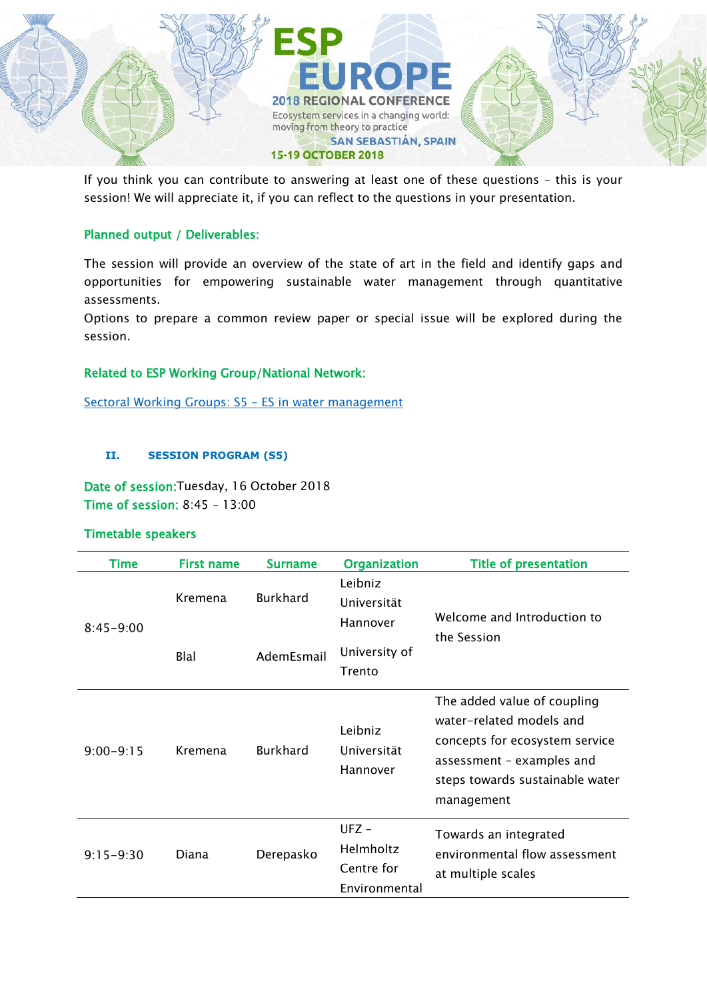

If you think you can contribute to answering at least one of these questions – this is your session! We will appreciate it, if you can reflect to the questions in your presentation.

## Planned output / Deliverables:

The session will provide an overview of the state of art in the field and identify gaps and opportunities for empowering sustainable water management through quantitative assessments.

Options to prepare a common review paper or special issue will be explored during the session.

## Related to ESP Working Group/National Network:

[Sectoral Working Groups: S5](https://www.es-partnership.org/community/workings-groups/sectoral-working-groups/swg-5-water-management/) – ES in water management

## **II. SESSION PROGRAM (S5)**

Date of session:Tuesday, 16 October 2018 Time of session: 8:45 – 13:00

## Timetable speakers

| Time          | <b>First name</b> | <b>Surname</b>  | <b>Organization</b>                                 | <b>Title of presentation</b>                                                                                                                                            |
|---------------|-------------------|-----------------|-----------------------------------------------------|-------------------------------------------------------------------------------------------------------------------------------------------------------------------------|
| $8:45 - 9:00$ | Kremena           | <b>Burkhard</b> | Leibniz<br>Universität<br>Hannover                  | Welcome and Introduction to                                                                                                                                             |
|               | Blal              | AdemEsmail      | University of<br>Trento                             | the Session                                                                                                                                                             |
| $9:00 - 9:15$ | Kremena           | <b>Burkhard</b> | Leibniz<br>Universität<br>Hannover                  | The added value of coupling<br>water-related models and<br>concepts for ecosystem service<br>assessment - examples and<br>steps towards sustainable water<br>management |
| $9:15 - 9:30$ | Diana             | Derepasko       | $UFZ -$<br>Helmholtz<br>Centre for<br>Environmental | Towards an integrated<br>environmental flow assessment<br>at multiple scales                                                                                            |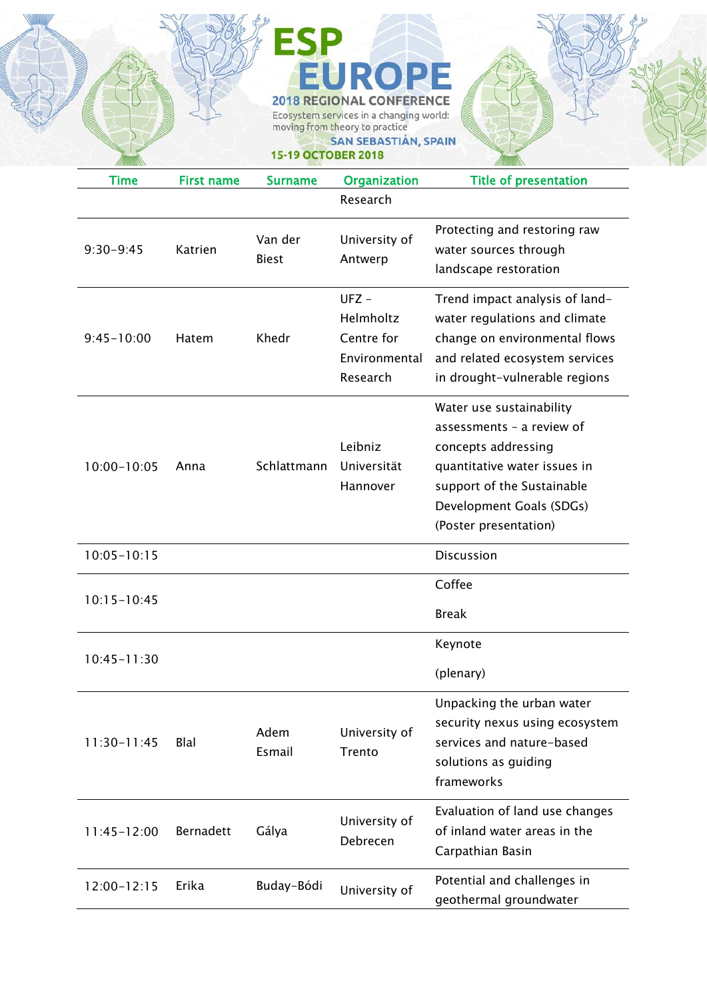# **EUROPE 2018 REGIONAL CONFERENCE** Ecosystem services in a changing world:<br>moving from theory to practice

SAN SEBASTIÁN, SPAIN

## **15-19 OCTOBER 2018**

**ESP** 

| <b>Time</b>     | <b>First name</b> | <b>Surname</b>          | <b>Organization</b>                                             | <b>Title of presentation</b>                                                                                                                                                                    |
|-----------------|-------------------|-------------------------|-----------------------------------------------------------------|-------------------------------------------------------------------------------------------------------------------------------------------------------------------------------------------------|
|                 |                   |                         | Research                                                        |                                                                                                                                                                                                 |
| $9:30 - 9:45$   | Katrien           | Van der<br><b>Biest</b> | University of<br>Antwerp                                        | Protecting and restoring raw<br>water sources through<br>landscape restoration                                                                                                                  |
| $9:45 - 10:00$  | Hatem             | Khedr                   | $UFZ -$<br>Helmholtz<br>Centre for<br>Environmental<br>Research | Trend impact analysis of land-<br>water regulations and climate<br>change on environmental flows<br>and related ecosystem services<br>in drought-vulnerable regions                             |
| $10:00 - 10:05$ | Anna              | Schlattmann             | Leibniz<br>Universität<br>Hannover                              | Water use sustainability<br>assessments - a review of<br>concepts addressing<br>quantitative water issues in<br>support of the Sustainable<br>Development Goals (SDGs)<br>(Poster presentation) |
| $10:05 - 10:15$ |                   |                         |                                                                 | Discussion                                                                                                                                                                                      |
| $10:15 - 10:45$ |                   |                         |                                                                 | Coffee<br><b>Break</b>                                                                                                                                                                          |
| $10:45 - 11:30$ |                   |                         |                                                                 | Keynote<br>(plenary)                                                                                                                                                                            |
| $11:30-11:45$   | <b>Blal</b>       | Adem<br>Esmail          | University of<br>Trento                                         | Unpacking the urban water<br>security nexus using ecosystem<br>services and nature-based<br>solutions as guiding<br>frameworks                                                                  |
| $11:45 - 12:00$ | Bernadett         | Gálya                   | University of<br>Debrecen                                       | Evaluation of land use changes<br>of inland water areas in the<br>Carpathian Basin                                                                                                              |
| $12:00 - 12:15$ | Erika             | Buday-Bódi              | University of                                                   | Potential and challenges in<br>geothermal groundwater                                                                                                                                           |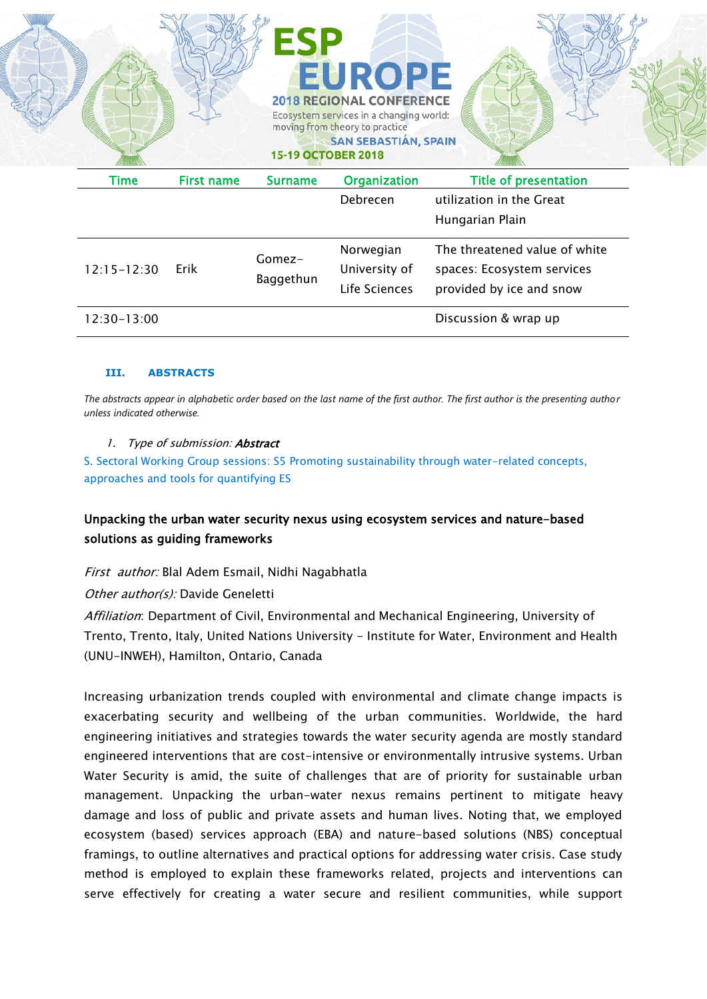|                 |                   | <b>15-19 OCTOBER 2018</b> |                     | <b>SAN SEBASTIÁN, SPAIN</b>   |
|-----------------|-------------------|---------------------------|---------------------|-------------------------------|
| Time            | <b>First name</b> | <b>Surname</b>            | <b>Organization</b> | <b>Title of presentation</b>  |
|                 |                   |                           | Debrecen            | utilization in the Great      |
|                 |                   |                           |                     | Hungarian Plain               |
| $12:15 - 12:30$ | Erik              |                           | Norwegian           | The threatened value of white |
|                 |                   | Gomez-                    | University of       | spaces: Ecosystem services    |
|                 |                   |                           |                     |                               |
|                 |                   | Baggethun                 | Life Sciences       | provided by ice and snow      |

 $\sim$ 

#### **III. ABSTRACTS**

*The abstracts appear in alphabetic order based on the last name of the first author. The first author is the presenting author unless indicated otherwise.*

#### 1. Type of submission: **Abstract**

 $\sim$ 

S. Sectoral Working Group sessions: S5 Promoting sustainability through water-related concepts, approaches and tools for quantifying ES

## Unpacking the urban water security nexus using ecosystem services and nature-based solutions as guiding frameworks

First author: Blal Adem Esmail, Nidhi Nagabhatla

Other author(s): Davide Geneletti

Affiliation: Department of Civil, Environmental and Mechanical Engineering, University of Trento, Trento, Italy, United Nations University - Institute for Water, Environment and Health (UNU-INWEH), Hamilton, Ontario, Canada

Increasing urbanization trends coupled with environmental and climate change impacts is exacerbating security and wellbeing of the urban communities. Worldwide, the hard engineering initiatives and strategies towards the water security agenda are mostly standard engineered interventions that are cost-intensive or environmentally intrusive systems. Urban Water Security is amid, the suite of challenges that are of priority for sustainable urban management. Unpacking the urban-water nexus remains pertinent to mitigate heavy damage and loss of public and private assets and human lives. Noting that, we employed ecosystem (based) services approach (EBA) and nature-based solutions (NBS) conceptual framings, to outline alternatives and practical options for addressing water crisis. Case study method is employed to explain these frameworks related, projects and interventions can serve effectively for creating a water secure and resilient communities, while support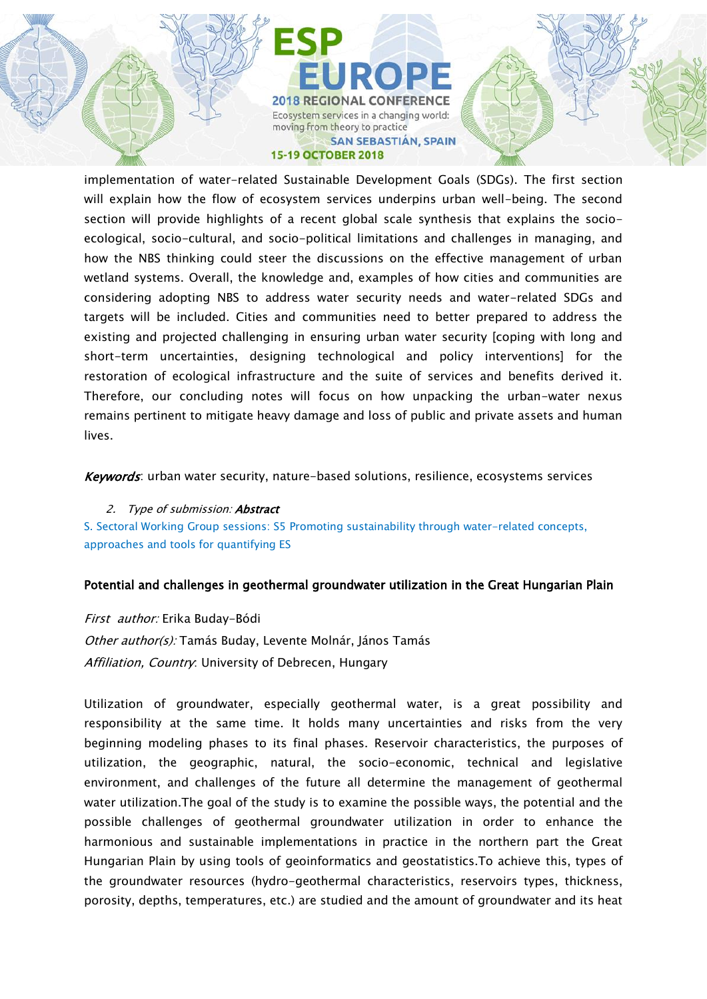#### **15-19 OCTOBER 2018**

implementation of water-related Sustainable Development Goals (SDGs). The first section will explain how the flow of ecosystem services underpins urban well-being. The second section will provide highlights of a recent global scale synthesis that explains the socioecological, socio-cultural, and socio-political limitations and challenges in managing, and how the NBS thinking could steer the discussions on the effective management of urban wetland systems. Overall, the knowledge and, examples of how cities and communities are considering adopting NBS to address water security needs and water-related SDGs and targets will be included. Cities and communities need to better prepared to address the existing and projected challenging in ensuring urban water security [coping with long and short-term uncertainties, designing technological and policy interventions] for the restoration of ecological infrastructure and the suite of services and benefits derived it. Therefore, our concluding notes will focus on how unpacking the urban-water nexus remains pertinent to mitigate heavy damage and loss of public and private assets and human lives.

Keywords: urban water security, nature-based solutions, resilience, ecosystems services

2. Type of submission: **Abstract** S. Sectoral Working Group sessions: S5 Promoting sustainability through water-related concepts, approaches and tools for quantifying ES

#### Potential and challenges in geothermal groundwater utilization in the Great Hungarian Plain

First author: Erika Buday-Bódi Other author(s): Tamás Buday, Levente Molnár, János Tamás Affiliation, Country. University of Debrecen, Hungary

Utilization of groundwater, especially geothermal water, is a great possibility and responsibility at the same time. It holds many uncertainties and risks from the very beginning modeling phases to its final phases. Reservoir characteristics, the purposes of utilization, the geographic, natural, the socio-economic, technical and legislative environment, and challenges of the future all determine the management of geothermal water utilization.The goal of the study is to examine the possible ways, the potential and the possible challenges of geothermal groundwater utilization in order to enhance the harmonious and sustainable implementations in practice in the northern part the Great Hungarian Plain by using tools of geoinformatics and geostatistics.To achieve this, types of the groundwater resources (hydro-geothermal characteristics, reservoirs types, thickness, porosity, depths, temperatures, etc.) are studied and the amount of groundwater and its heat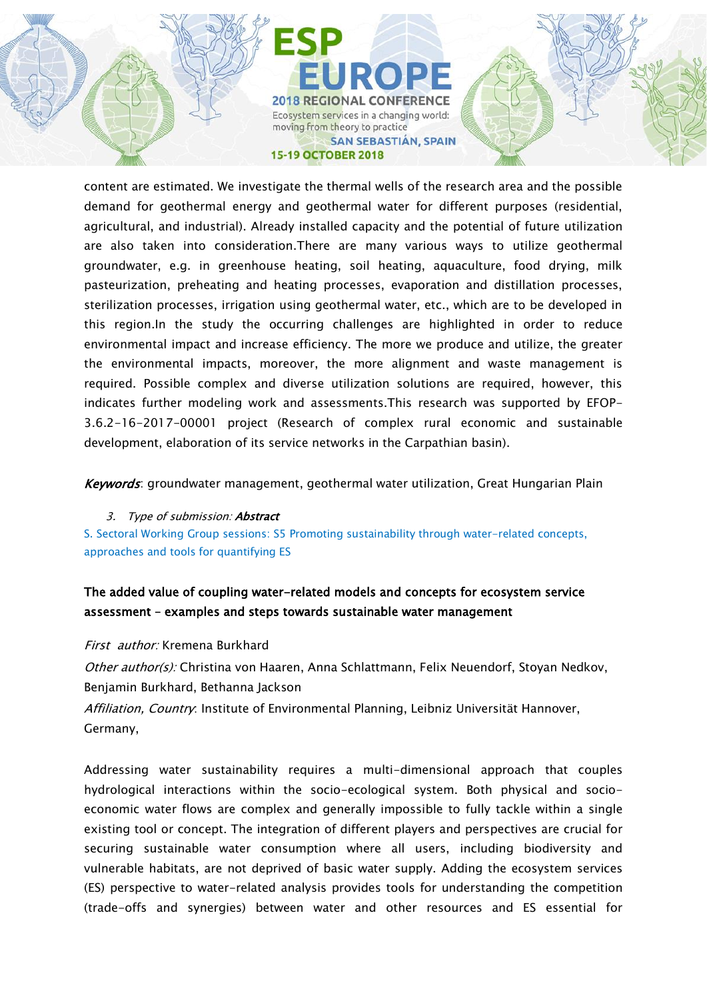content are estimated. We investigate the thermal wells of the research area and the possible demand for geothermal energy and geothermal water for different purposes (residential, agricultural, and industrial). Already installed capacity and the potential of future utilization are also taken into consideration.There are many various ways to utilize geothermal groundwater, e.g. in greenhouse heating, soil heating, aquaculture, food drying, milk pasteurization, preheating and heating processes, evaporation and distillation processes, sterilization processes, irrigation using geothermal water, etc., which are to be developed in this region.In the study the occurring challenges are highlighted in order to reduce environmental impact and increase efficiency. The more we produce and utilize, the greater the environmental impacts, moreover, the more alignment and waste management is required. Possible complex and diverse utilization solutions are required, however, this indicates further modeling work and assessments.This research was supported by EFOP-3.6.2-16-2017-00001 project (Research of complex rural economic and sustainable development, elaboration of its service networks in the Carpathian basin).

Keywords: groundwater management, geothermal water utilization, Great Hungarian Plain

## 3. Type of submission: **Abstract**

S. Sectoral Working Group sessions: S5 Promoting sustainability through water-related concepts, approaches and tools for quantifying ES

## The added value of coupling water-related models and concepts for ecosystem service assessment – examples and steps towards sustainable water management

#### First *author:* Kremena Burkhard

Other author(s): Christina von Haaren, Anna Schlattmann, Felix Neuendorf, Stoyan Nedkov, Benjamin Burkhard, Bethanna Jackson

Affiliation, Country: Institute of Environmental Planning, Leibniz Universität Hannover, Germany,

Addressing water sustainability requires a multi-dimensional approach that couples hydrological interactions within the socio-ecological system. Both physical and socioeconomic water flows are complex and generally impossible to fully tackle within a single existing tool or concept. The integration of different players and perspectives are crucial for securing sustainable water consumption where all users, including biodiversity and vulnerable habitats, are not deprived of basic water supply. Adding the ecosystem services (ES) perspective to water-related analysis provides tools for understanding the competition (trade-offs and synergies) between water and other resources and ES essential for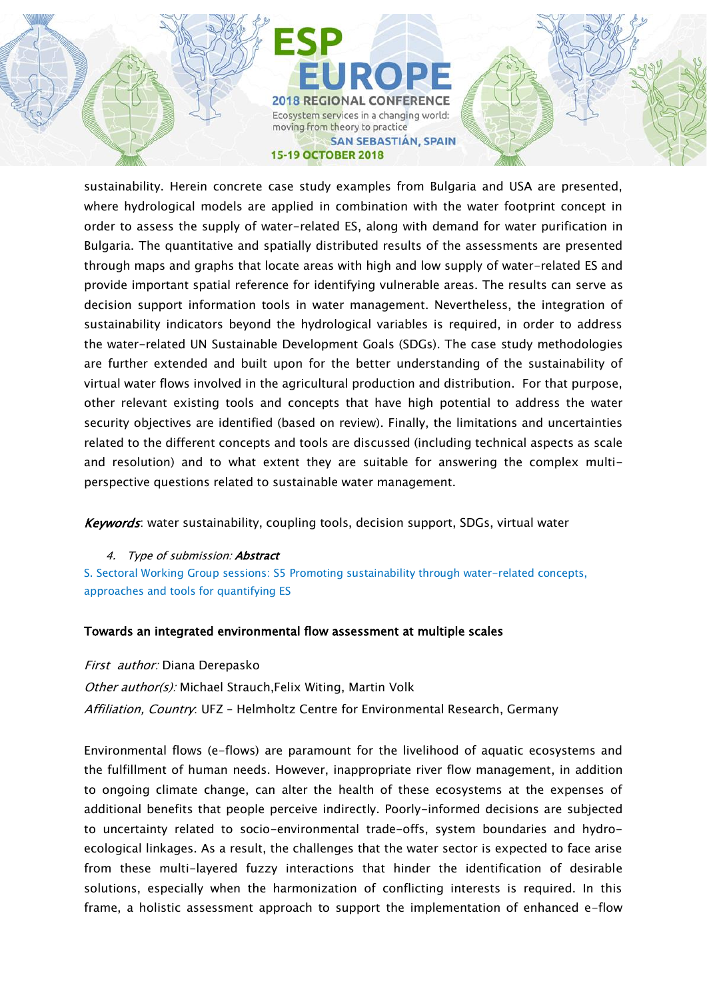sustainability. Herein concrete case study examples from Bulgaria and USA are presented, where hydrological models are applied in combination with the water footprint concept in order to assess the supply of water-related ES, along with demand for water purification in Bulgaria. The quantitative and spatially distributed results of the assessments are presented through maps and graphs that locate areas with high and low supply of water-related ES and provide important spatial reference for identifying vulnerable areas. The results can serve as decision support information tools in water management. Nevertheless, the integration of sustainability indicators beyond the hydrological variables is required, in order to address the water-related UN Sustainable Development Goals (SDGs). The case study methodologies are further extended and built upon for the better understanding of the sustainability of virtual water flows involved in the agricultural production and distribution. For that purpose, other relevant existing tools and concepts that have high potential to address the water security objectives are identified (based on review). Finally, the limitations and uncertainties related to the different concepts and tools are discussed (including technical aspects as scale and resolution) and to what extent they are suitable for answering the complex multiperspective questions related to sustainable water management.

Keywords: water sustainability, coupling tools, decision support, SDGs, virtual water

## 4. Type of submission: **Abstract**

S. Sectoral Working Group sessions: S5 Promoting sustainability through water-related concepts, approaches and tools for quantifying ES

## Towards an integrated environmental flow assessment at multiple scales

First author: Diana Derepasko Other author(s): Michael Strauch, Felix Witing, Martin Volk Affiliation, Country: UFZ - Helmholtz Centre for Environmental Research, Germany

Environmental flows (e-flows) are paramount for the livelihood of aquatic ecosystems and the fulfillment of human needs. However, inappropriate river flow management, in addition to ongoing climate change, can alter the health of these ecosystems at the expenses of additional benefits that people perceive indirectly. Poorly-informed decisions are subjected to uncertainty related to socio-environmental trade-offs, system boundaries and hydroecological linkages. As a result, the challenges that the water sector is expected to face arise from these multi-layered fuzzy interactions that hinder the identification of desirable solutions, especially when the harmonization of conflicting interests is required. In this frame, a holistic assessment approach to support the implementation of enhanced e-flow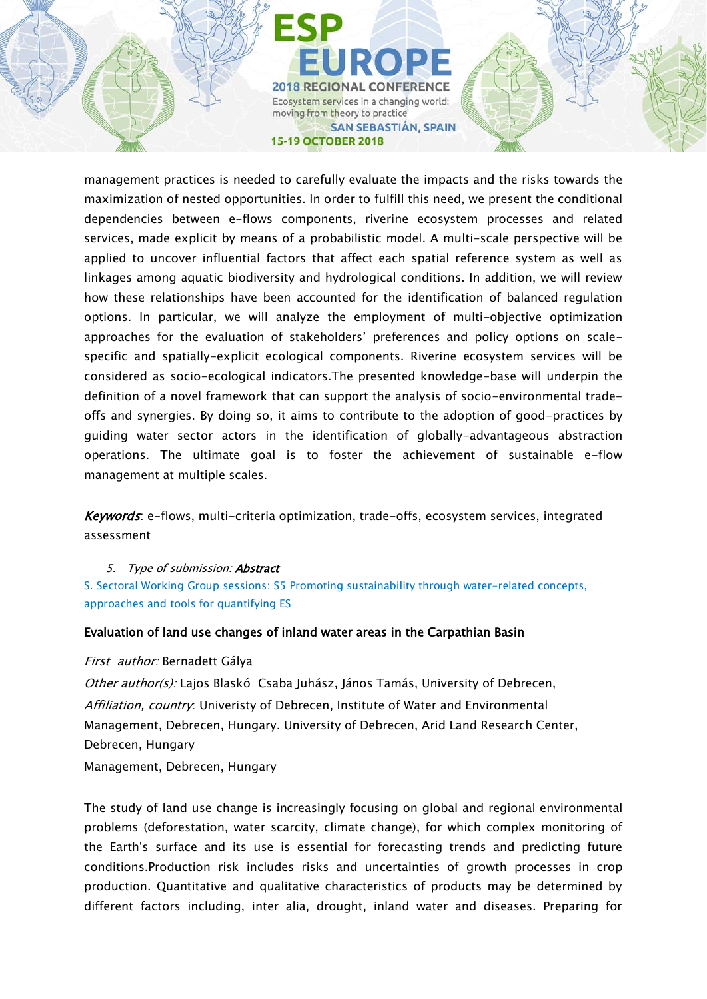management practices is needed to carefully evaluate the impacts and the risks towards the maximization of nested opportunities. In order to fulfill this need, we present the conditional dependencies between e-flows components, riverine ecosystem processes and related services, made explicit by means of a probabilistic model. A multi-scale perspective will be applied to uncover influential factors that affect each spatial reference system as well as linkages among aquatic biodiversity and hydrological conditions. In addition, we will review how these relationships have been accounted for the identification of balanced regulation options. In particular, we will analyze the employment of multi-objective optimization approaches for the evaluation of stakeholders' preferences and policy options on scalespecific and spatially-explicit ecological components. Riverine ecosystem services will be considered as socio-ecological indicators.The presented knowledge-base will underpin the definition of a novel framework that can support the analysis of socio-environmental tradeoffs and synergies. By doing so, it aims to contribute to the adoption of good-practices by guiding water sector actors in the identification of globally-advantageous abstraction operations. The ultimate goal is to foster the achievement of sustainable e-flow management at multiple scales.

Keywords: e-flows, multi-criteria optimization, trade-offs, ecosystem services, integrated assessment

#### 5. Type of submission: Abstract

S. Sectoral Working Group sessions: S5 Promoting sustainability through water-related concepts, approaches and tools for quantifying ES

#### Evaluation of land use changes of inland water areas in the Carpathian Basin

#### First author: Bernadett Gálya

Other author(s): Lajos Blaskó Csaba Juhász, János Tamás, University of Debrecen, Affiliation, country: Univeristy of Debrecen, Institute of Water and Environmental Management, Debrecen, Hungary. University of Debrecen, Arid Land Research Center, Debrecen, Hungary

Management, Debrecen, Hungary

The study of land use change is increasingly focusing on global and regional environmental problems (deforestation, water scarcity, climate change), for which complex monitoring of the Earth's surface and its use is essential for forecasting trends and predicting future conditions.Production risk includes risks and uncertainties of growth processes in crop production. Quantitative and qualitative characteristics of products may be determined by different factors including, inter alia, drought, inland water and diseases. Preparing for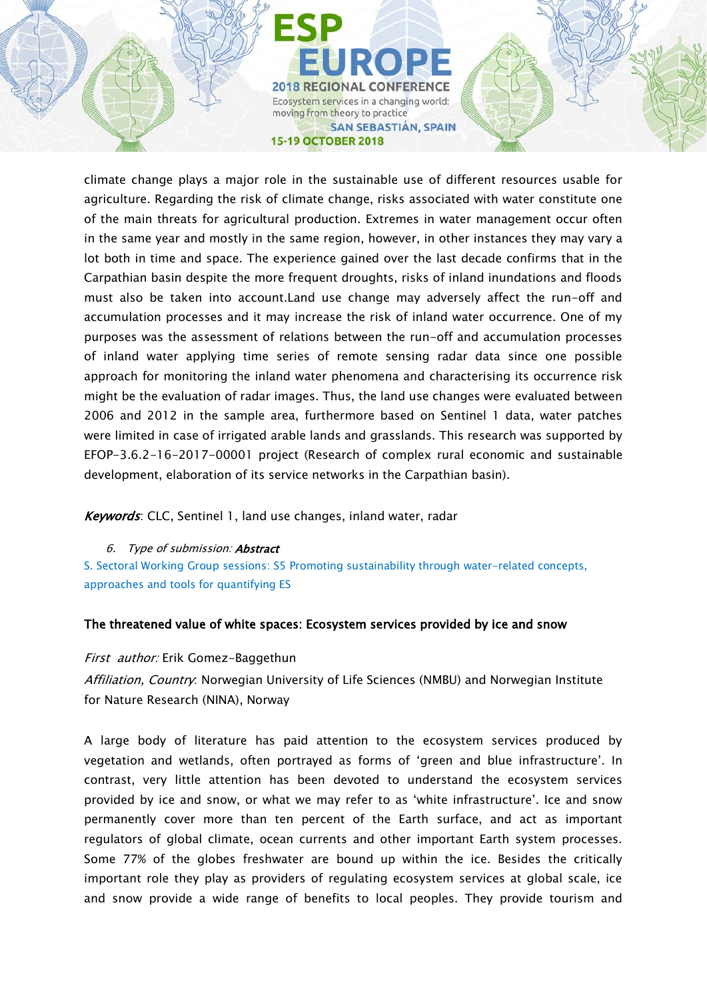climate change plays a major role in the sustainable use of different resources usable for agriculture. Regarding the risk of climate change, risks associated with water constitute one of the main threats for agricultural production. Extremes in water management occur often in the same year and mostly in the same region, however, in other instances they may vary a lot both in time and space. The experience gained over the last decade confirms that in the Carpathian basin despite the more frequent droughts, risks of inland inundations and floods must also be taken into account.Land use change may adversely affect the run-off and accumulation processes and it may increase the risk of inland water occurrence. One of my purposes was the assessment of relations between the run-off and accumulation processes of inland water applying time series of remote sensing radar data since one possible approach for monitoring the inland water phenomena and characterising its occurrence risk might be the evaluation of radar images. Thus, the land use changes were evaluated between 2006 and 2012 in the sample area, furthermore based on Sentinel 1 data, water patches were limited in case of irrigated arable lands and grasslands. This research was supported by EFOP-3.6.2-16-2017-00001 project (Research of complex rural economic and sustainable development, elaboration of its service networks in the Carpathian basin).

Keywords: CLC, Sentinel 1, land use changes, inland water, radar

#### 6. Type of submission: Abstract

S. Sectoral Working Group sessions: S5 Promoting sustainability through water-related concepts, approaches and tools for quantifying ES

## The threatened value of white spaces: Ecosystem services provided by ice and snow

#### First author: Erik Gomez-Baggethun

Affiliation, Country: Norwegian University of Life Sciences (NMBU) and Norwegian Institute for Nature Research (NINA), Norway

A large body of literature has paid attention to the ecosystem services produced by vegetation and wetlands, often portrayed as forms of 'green and blue infrastructure'. In contrast, very little attention has been devoted to understand the ecosystem services provided by ice and snow, or what we may refer to as 'white infrastructure'. Ice and snow permanently cover more than ten percent of the Earth surface, and act as important regulators of global climate, ocean currents and other important Earth system processes. Some 77% of the globes freshwater are bound up within the ice. Besides the critically important role they play as providers of regulating ecosystem services at global scale, ice and snow provide a wide range of benefits to local peoples. They provide tourism and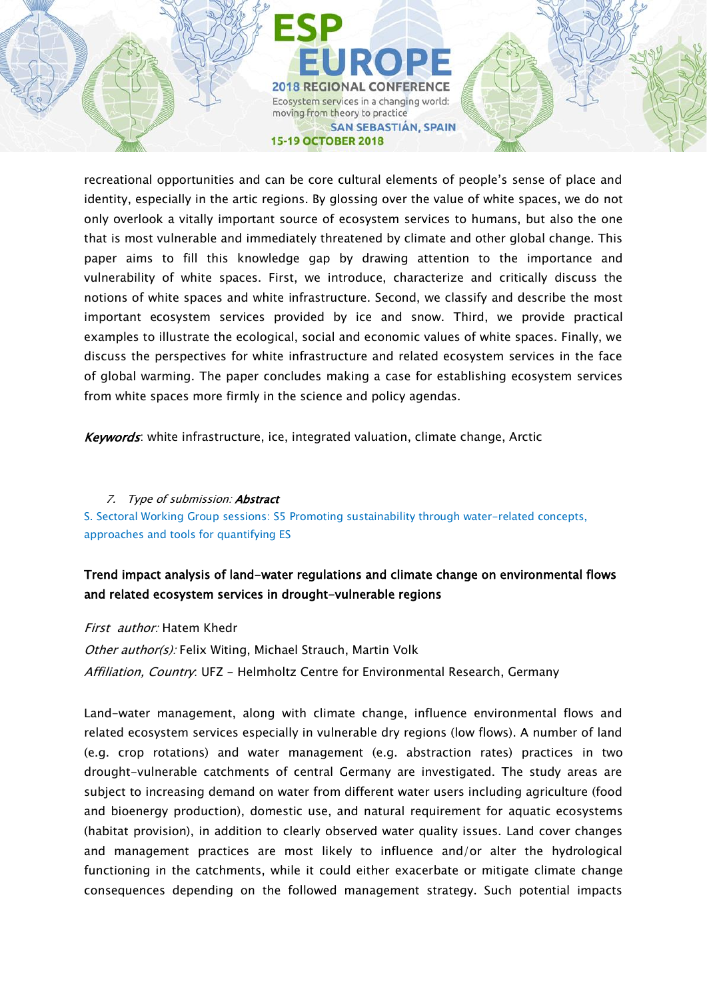recreational opportunities and can be core cultural elements of people's sense of place and identity, especially in the artic regions. By glossing over the value of white spaces, we do not only overlook a vitally important source of ecosystem services to humans, but also the one that is most vulnerable and immediately threatened by climate and other global change. This paper aims to fill this knowledge gap by drawing attention to the importance and vulnerability of white spaces. First, we introduce, characterize and critically discuss the notions of white spaces and white infrastructure. Second, we classify and describe the most important ecosystem services provided by ice and snow. Third, we provide practical examples to illustrate the ecological, social and economic values of white spaces. Finally, we discuss the perspectives for white infrastructure and related ecosystem services in the face of global warming. The paper concludes making a case for establishing ecosystem services from white spaces more firmly in the science and policy agendas.

Keywords: white infrastructure, ice, integrated valuation, climate change, Arctic

7. Type of submission: **Abstract** S. Sectoral Working Group sessions: S5 Promoting sustainability through water-related concepts, approaches and tools for quantifying ES

## Trend impact analysis of land-water regulations and climate change on environmental flows and related ecosystem services in drought-vulnerable regions

First author: Hatem Khedr Other author(s): Felix Witing, Michael Strauch, Martin Volk Affiliation, Country: UFZ - Helmholtz Centre for Environmental Research, Germany

Land-water management, along with climate change, influence environmental flows and related ecosystem services especially in vulnerable dry regions (low flows). A number of land (e.g. crop rotations) and water management (e.g. abstraction rates) practices in two drought-vulnerable catchments of central Germany are investigated. The study areas are subject to increasing demand on water from different water users including agriculture (food and bioenergy production), domestic use, and natural requirement for aquatic ecosystems (habitat provision), in addition to clearly observed water quality issues. Land cover changes and management practices are most likely to influence and/or alter the hydrological functioning in the catchments, while it could either exacerbate or mitigate climate change consequences depending on the followed management strategy. Such potential impacts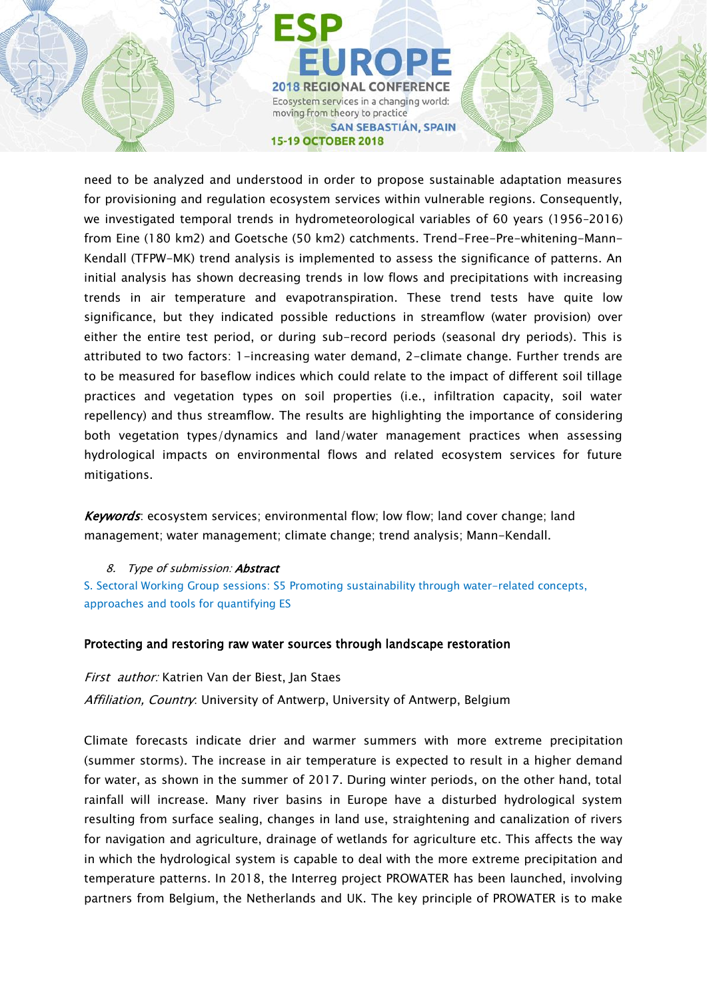need to be analyzed and understood in order to propose sustainable adaptation measures for provisioning and regulation ecosystem services within vulnerable regions. Consequently, we investigated temporal trends in hydrometeorological variables of 60 years (1956–2016) from Eine (180 km2) and Goetsche (50 km2) catchments. Trend-Free-Pre-whitening-Mann-Kendall (TFPW-MK) trend analysis is implemented to assess the significance of patterns. An initial analysis has shown decreasing trends in low flows and precipitations with increasing trends in air temperature and evapotranspiration. These trend tests have quite low significance, but they indicated possible reductions in streamflow (water provision) over either the entire test period, or during sub-record periods (seasonal dry periods). This is attributed to two factors: 1-increasing water demand, 2-climate change. Further trends are to be measured for baseflow indices which could relate to the impact of different soil tillage practices and vegetation types on soil properties (i.e., infiltration capacity, soil water repellency) and thus streamflow. The results are highlighting the importance of considering both vegetation types/dynamics and land/water management practices when assessing hydrological impacts on environmental flows and related ecosystem services for future mitigations.

Keywords: ecosystem services; environmental flow; low flow; land cover change; land management; water management; climate change; trend analysis; Mann-Kendall.

#### 8. Type of submission: Abstract

S. Sectoral Working Group sessions: S5 Promoting sustainability through water-related concepts, approaches and tools for quantifying ES

#### Protecting and restoring raw water sources through landscape restoration

First author: Katrien Van der Biest, Jan Staes

Affiliation, Country: University of Antwerp, University of Antwerp, Belgium

Climate forecasts indicate drier and warmer summers with more extreme precipitation (summer storms). The increase in air temperature is expected to result in a higher demand for water, as shown in the summer of 2017. During winter periods, on the other hand, total rainfall will increase. Many river basins in Europe have a disturbed hydrological system resulting from surface sealing, changes in land use, straightening and canalization of rivers for navigation and agriculture, drainage of wetlands for agriculture etc. This affects the way in which the hydrological system is capable to deal with the more extreme precipitation and temperature patterns. In 2018, the Interreg project PROWATER has been launched, involving partners from Belgium, the Netherlands and UK. The key principle of PROWATER is to make